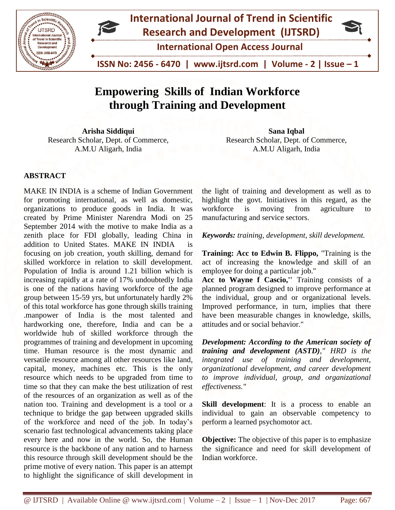

# **Empowering Skills of Indian Workforce through Training and Development**

**Arisha Siddiqui** Research Scholar, Dept. of Commerce, A.M.U Aligarh, India

#### **ABSTRACT**

MAKE IN INDIA is a scheme of Indian Government for promoting international, as well as domestic, organizations to produce goods in India. It was created by Prime Minister Narendra Modi on 25 September 2014 with the motive to make India as a zenith place for FDI globally, leading China in addition to United States. MAKE IN INDIA is focusing on job creation, youth skilling, demand for skilled workforce in relation to skill development. Population of India is around 1.21 billion which is increasing rapidly at a rate of 17% undoubtedly India is one of the nations having workforce of the age group between 15-59 yrs, but unfortunately hardly 2% of this total workforce has gone through skills training .manpower of India is the most talented and hardworking one, therefore, India and can be a worldwide hub of skilled workforce through the programmes of training and development in upcoming time. Human resource is the most dynamic and versatile resource among all other resources like land, capital, money, machines etc. This is the only resource which needs to be upgraded from time to time so that they can make the best utilization of rest of the resources of an organization as well as of the nation too. Training and development is a tool or a technique to bridge the gap between upgraded skills of the workforce and need of the job. In today's scenario fast technological advancements taking place every here and now in the world. So, the Human resource is the backbone of any nation and to harness this resource through skill development should be the prime motive of every nation. This paper is an attempt to highlight the significance of skill development in

**Sana Iqbal** Research Scholar, Dept. of Commerce, A.M.U Aligarh, India

the light of training and development as well as to highlight the govt. Initiatives in this regard, as the workforce is moving from agriculture to manufacturing and service sectors.

*Keywords: training, development, skill development.*

**Training: Acc to Edwin B. Flippo,** "Training is the act of increasing the knowledge and skill of an employee for doing a particular job.''

**Acc to Wayne f Cascio,''** Training consists of a planned program designed to improve performance at the individual, group and or organizational levels. Improved performance, in turn, implies that there have been measurable changes in knowledge, skills, attitudes and or social behavior."

*Development: According to the American society of training and development (ASTD)," HRD is the integrated use of training and development, organizational development, and career development to improve individual, group, and organizational effectiveness."*

**Skill development:** It is a process to enable an individual to gain an observable competency to perform a learned psychomotor act.

**Objective:** The objective of this paper is to emphasize the significance and need for skill development of Indian workforce.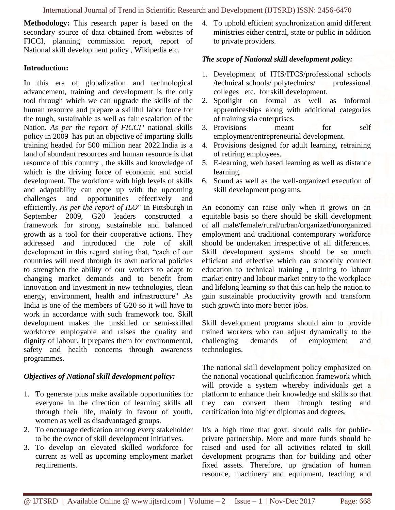**Methodology:** This research paper is based on the secondary source of data obtained from websites of FICCI, planning commission report, report of National skill development policy , Wikipedia etc.

#### **Introduction:**

In this era of globalization and technological advancement, training and development is the only tool through which we can upgrade the skills of the human resource and prepare a skillful labor force for the tough, sustainable as well as fair escalation of the Nation. *As per the report of FICCI*" national skills policy in 2009 has put an objective of imparting skills training headed for 500 million near 2022.India is a land of abundant resources and human resource is that resource of this country , the skills and knowledge of which is the driving force of economic and social development. The workforce with high levels of skills and adaptability can cope up with the upcoming challenges and opportunities effectively and efficiently. *As per the report of ILO*" In Pittsburgh in September 2009, G20 leaders constructed a framework for strong, sustainable and balanced growth as a tool for their cooperative actions. They addressed and introduced the role of skill development in this regard stating that, "each of our countries will need through its own national policies to strengthen the ability of our workers to adapt to changing market demands and to benefit from innovation and investment in new technologies, clean energy, environment, health and infrastructure" .As India is one of the members of G20 so it will have to work in accordance with such framework too. Skill development makes the unskilled or semi-skilled workforce employable and raises the quality and dignity of labour. It prepares them for environmental, safety and health concerns through awareness programmes.

#### *Objectives of National skill development policy:*

- 1. To generate plus make available opportunities for everyone in the direction of learning skills all through their life, mainly in favour of youth, women as well as disadvantaged groups.
- 2. To encourage dedication among every stakeholder to be the owner of skill development initiatives.
- 3. To develop an elevated skilled workforce for current as well as upcoming employment market requirements.

4. To uphold efficient synchronization amid different ministries either central, state or public in addition to private providers.

#### *The scope of National skill development policy:*

- 1. Development of ITIS/ITCS/professional schools /technical schools/ polytechnics/ professional colleges etc. for skill development.
- 2. Spotlight on formal as well as informal apprenticeships along with additional categories of training via enterprises.
- 3. Provisions meant for self employment/entrepreneurial development.
- 4. Provisions designed for adult learning, retraining of retiring employees.
- 5. E-learning, web based learning as well as distance learning.
- 6. Sound as well as the well-organized execution of skill development programs.

An economy can raise only when it grows on an equitable basis so there should be skill development of all male/female/rural/urban/organized/unorganized employment and traditional contemporary workforce should be undertaken irrespective of all differences. Skill development systems should be so much efficient and effective which can smoothly connect education to technical training , training to labour market entry and labour market entry to the workplace and lifelong learning so that this can help the nation to gain sustainable productivity growth and transform such growth into more better jobs.

Skill development programs should aim to provide trained workers who can adjust dynamically to the challenging demands of employment and technologies.

The national skill development policy emphasized on the national vocational qualification framework which will provide a system whereby individuals get a platform to enhance their knowledge and skills so that they can convert them through testing and certification into higher diplomas and degrees.

It's a high time that govt. should calls for publicprivate partnership. More and more funds should be raised and used for all activities related to skill development programs than for building and other fixed assets. Therefore, up gradation of human resource, machinery and equipment, teaching and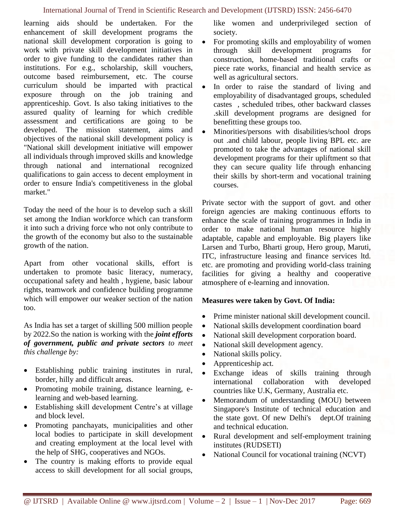#### International Journal of Trend in Scientific Research and Development (IJTSRD) ISSN: 2456-6470

learning aids should be undertaken. For the enhancement of skill development programs the national skill development corporation is going to work with private skill development initiatives in order to give funding to the candidates rather than institutions. For e.g., scholarship, skill vouchers, outcome based reimbursement, etc. The course curriculum should be imparted with practical exposure through on the job training and apprenticeship. Govt. Is also taking initiatives to the assured quality of learning for which credible assessment and certifications are going to be developed. The mission statement, aims and objectives of the national skill development policy is "National skill development initiative will empower all individuals through improved skills and knowledge through national and international recognized qualifications to gain access to decent employment in order to ensure India's competitiveness in the global market."

Today the need of the hour is to develop such a skill set among the Indian workforce which can transform it into such a driving force who not only contribute to the growth of the economy but also to the sustainable growth of the nation.

Apart from other vocational skills, effort is undertaken to promote basic literacy, numeracy, occupational safety and health , hygiene, basic labour rights, teamwork and confidence building programme which will empower our weaker section of the nation too.

As India has set a target of skilling 500 million people by 2022.So the nation is working with the *joint efforts of government, public and private sectors to meet this challenge by:*

- Establishing public training institutes in rural, border, hilly and difficult areas.
- Promoting mobile training, distance learning, elearning and web-based learning.
- Establishing skill development Centre's at village and block level.
- Promoting panchayats, municipalities and other local bodies to participate in skill development and creating employment at the local level with the help of SHG, cooperatives and NGOs.
- The country is making efforts to provide equal access to skill development for all social groups,

like women and underprivileged section of society.

- For promoting skills and employability of women through skill development programs for construction, home-based traditional crafts or piece rate works, financial and health service as well as agricultural sectors.
- In order to raise the standard of living and employability of disadvantaged groups, scheduled castes , scheduled tribes, other backward classes .skill development programs are designed for benefitting these groups too.
- Minorities/persons with disabilities/school drops out .and child labour, people living BPL etc. are promoted to take the advantages of national skill development programs for their upliftment so that they can secure quality life through enhancing their skills by short-term and vocational training courses.

Private sector with the support of govt. and other foreign agencies are making continuous efforts to enhance the scale of training programmes in India in order to make national human resource highly adaptable, capable and employable. Big players like Larsen and Turbo, Bharti group, Hero group, Maruti, ITC, infrastructure leasing and finance services ltd. etc. are promoting and providing world-class training facilities for giving a healthy and cooperative atmosphere of e-learning and innovation.

#### **Measures were taken by Govt. Of India:**

- Prime minister national skill development council.
- National skills development coordination board
- National skill development corporation board.
- National skill development agency.
- National skills policy.
- Apprenticeship act.
- Exchange ideas of skills training through international collaboration with developed countries like U.K, Germany, Australia etc.
- Memorandum of understanding (MOU) between Singapore's Institute of technical education and the state govt. Of new Delhi's dept.Of training and technical education.
- Rural development and self-employment training institutes (RUDSETI)
- National Council for vocational training (NCVT)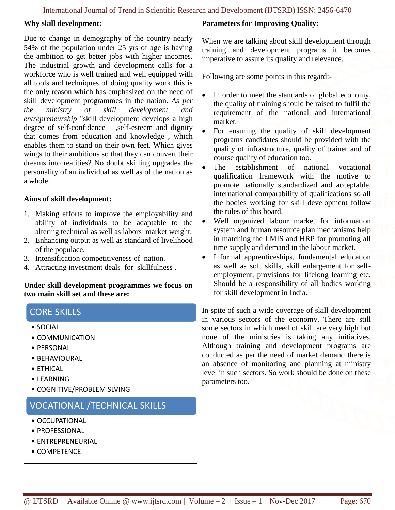#### **Why skill development:**

Due to change in demography of the country nearly 54% of the population under 25 yrs of age is having the ambition to get better jobs with higher incomes. The industrial growth and development calls for a workforce who is well trained and well equipped with all tools and techniques of doing quality work this is the only reason which has emphasized on the need of skill development programmes in the nation. *As per the ministry of skill development and entrepreneurship* "skill development develops a high degree of self-confidence ,self-esteem and dignity that comes from education and knowledge , which enables them to stand on their own feet. Which gives wings to their ambitions so that they can convert their dreams into realities? No doubt skilling upgrades the personality of an individual as well as of the nation as a whole.

#### **Aims of skill development:**

- 1. Making efforts to improve the employability and ability of individuals to be adaptable to the altering technical as well as labors market weight.
- 2. Enhancing output as well as standard of livelihood of the populace.
- 3. Intensification competitiveness of nation.
- 4. Attracting investment deals for skillfulness .

**Under skill development programmes we focus on two main skill set and these are:**

# CORE SKILLS

- SOCIAL
- COMMUNICATION
- PERSONAL
- BEHAVIOURAL
- ETHICAL
- LEARNING
- COGNITIVE/PROBLEM SLVING

# VOCATIONAL /TECHNICAL SKILLS

- OCCUPATIONAL
- PROFESSIONAL
- ENTREPRENEURIAL
- COMPETENCE

### **Parameters for Improving Quality:**

When we are talking about skill development through training and development programs it becomes imperative to assure its quality and relevance.

Following are some points in this regard:-

- In order to meet the standards of global economy, the quality of training should be raised to fulfil the requirement of the national and international market.
- For ensuring the quality of skill development programs candidates should be provided with the quality of infrastructure, quality of trainer and of course quality of education too.
- The establishment of national vocational qualification framework with the motive to promote nationally standardized and acceptable, international comparability of qualifications so all the bodies working for skill development follow the rules of this board.
- Well organized labour market for information system and human resource plan mechanisms help in matching the LMIS and HRP for promoting all time supply and demand in the labour market.
- Informal apprenticeships, fundamental education as well as soft skills, skill enlargement for selfemployment, provisions for lifelong learning etc. Should be a responsibility of all bodies working for skill development in India.

In spite of such a wide coverage of skill development in various sectors of the economy. There are still some sectors in which need of skill are very high but none of the ministries is taking any initiatives. Although training and development programs are conducted as per the need of market demand there is an absence of monitoring and planning at ministry level in such sectors. So work should be done on these parameters too.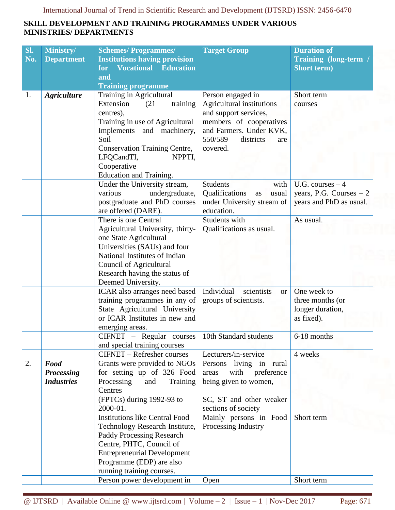## **SKILL DEVELOPMENT AND TRAINING PROGRAMMES UNDER VARIOUS MINISTRIES/ DEPARTMENTS**

| SI. | Ministry/          | <b>Schemes/Programmes/</b>                                     | <b>Target Group</b>                           | <b>Duration of</b>             |
|-----|--------------------|----------------------------------------------------------------|-----------------------------------------------|--------------------------------|
| No. | <b>Department</b>  | <b>Institutions having provision</b>                           |                                               | Training (long-term /          |
|     |                    | <b>Vocational Education</b><br>for                             |                                               | <b>Short term)</b>             |
|     |                    | and                                                            |                                               |                                |
| 1.  | <b>Agriculture</b> | <b>Training programme</b><br>Training in Agricultural          | Person engaged in                             | Short term                     |
|     |                    | Extension<br>(21)<br>training                                  | Agricultural institutions                     | courses                        |
|     |                    | centres),                                                      | and support services,                         |                                |
|     |                    | Training in use of Agricultural                                | members of cooperatives                       |                                |
|     |                    | Implements and machinery,                                      | and Farmers. Under KVK,                       |                                |
|     |                    | Soil                                                           | 550/589<br>districts<br>are                   |                                |
|     |                    | <b>Conservation Training Centre,</b>                           | covered.                                      |                                |
|     |                    | LFQCandTI,<br>NPPTI,                                           |                                               |                                |
|     |                    | Cooperative                                                    |                                               |                                |
|     |                    | Education and Training.                                        |                                               |                                |
|     |                    | Under the University stream,                                   | <b>Students</b><br>with                       | U.G. courses $-4$              |
|     |                    | various<br>undergraduate,                                      | Qualifications<br>usual<br>as                 | years, P.G. Courses $-2$       |
|     |                    | postgraduate and PhD courses                                   | under University stream of<br>education.      | years and PhD as usual.        |
|     |                    | are offered (DARE).<br>There is one Central                    | Students with                                 | As usual.                      |
|     |                    | Agricultural University, thirty-                               | Qualifications as usual.                      |                                |
|     |                    | one State Agricultural                                         |                                               |                                |
|     |                    | Universities (SAUs) and four                                   |                                               |                                |
|     |                    | National Institutes of Indian                                  |                                               |                                |
|     |                    | Council of Agricultural                                        |                                               |                                |
|     |                    | Research having the status of                                  |                                               |                                |
|     |                    | Deemed University.                                             |                                               |                                |
|     |                    | ICAR also arranges need based                                  | Individual<br>scientists<br><b>or</b>         | One week to                    |
|     |                    | training programmes in any of                                  | groups of scientists.                         | three months (or               |
|     |                    | State Agricultural University<br>or ICAR Institutes in new and |                                               | longer duration,<br>as fixed). |
|     |                    | emerging areas.                                                |                                               |                                |
|     |                    | CIFNET - Regular courses                                       | 10th Standard students                        | 6-18 months                    |
|     |                    | and special training courses                                   |                                               |                                |
|     |                    | <b>CIFNET</b> – Refresher courses                              | Lecturers/in-service                          | 4 weeks                        |
| 2.  | Food               | Grants were provided to NGOs                                   | Persons living in rural                       |                                |
|     | <b>Processing</b>  | for setting up of 326 Food                                     | with<br>preference<br>areas                   |                                |
|     | <b>Industries</b>  | Processing<br>and<br>Training                                  | being given to women,                         |                                |
|     |                    | Centres                                                        |                                               |                                |
|     |                    | (FPTCs) during 1992-93 to<br>2000-01.                          | SC, ST and other weaker                       |                                |
|     |                    | <b>Institutions like Central Food</b>                          | sections of society<br>Mainly persons in Food | Short term                     |
|     |                    | Technology Research Institute,                                 | Processing Industry                           |                                |
|     |                    | <b>Paddy Processing Research</b>                               |                                               |                                |
|     |                    | Centre, PHTC, Council of                                       |                                               |                                |
|     |                    | <b>Entrepreneurial Development</b>                             |                                               |                                |
|     |                    | Programme (EDP) are also                                       |                                               |                                |
|     |                    | running training courses.                                      |                                               |                                |
|     |                    | Person power development in                                    | Open                                          | Short term                     |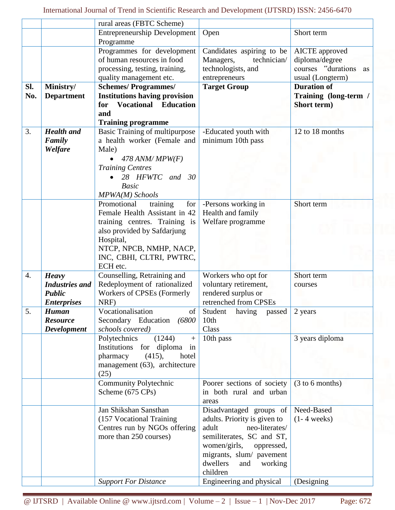|                  |                       | rural areas (FBTC Scheme)                                     |                                           |                           |
|------------------|-----------------------|---------------------------------------------------------------|-------------------------------------------|---------------------------|
|                  |                       | <b>Entrepreneurship Development</b>                           | Open                                      | Short term                |
|                  |                       | Programme                                                     |                                           |                           |
|                  |                       | Programmes for development                                    | Candidates aspiring to be                 | AICTE approved            |
|                  |                       | of human resources in food                                    | Managers,<br>technician/                  | diploma/degree            |
|                  |                       | processing, testing, training,                                | technologists, and                        | courses "durations"<br>as |
|                  |                       | quality management etc.                                       | entrepreneurs                             | usual (Longterm)          |
| SI.              | Ministry/             | <b>Schemes/Programmes/</b>                                    | <b>Target Group</b>                       | <b>Duration of</b>        |
| No.              | <b>Department</b>     | <b>Institutions having provision</b>                          |                                           | Training (long-term /     |
|                  |                       | <b>Vocational</b><br><b>Education</b><br>for                  |                                           | Short term)               |
|                  |                       | and                                                           |                                           |                           |
|                  |                       | <b>Training programme</b>                                     |                                           | 12 to 18 months           |
| 3.               | <b>Health</b> and     | Basic Training of multipurpose<br>a health worker (Female and | -Educated youth with<br>minimum 10th pass |                           |
|                  | Family<br>Welfare     | Male)                                                         |                                           |                           |
|                  |                       |                                                               |                                           |                           |
|                  |                       | $478$ ANM/MPW(F)                                              |                                           |                           |
|                  |                       | <b>Training Centres</b><br>28 HFWTC and<br>30                 |                                           |                           |
|                  |                       | <b>Basic</b>                                                  |                                           |                           |
|                  |                       | MPWA(M) Schools                                               |                                           |                           |
|                  |                       | Promotional<br>training<br>for                                | -Persons working in                       | Short term                |
|                  |                       | Female Health Assistant in 42                                 | Health and family                         |                           |
|                  |                       | training centres. Training is                                 | Welfare programme                         |                           |
|                  |                       | also provided by Safdarjung                                   |                                           |                           |
|                  |                       | Hospital,                                                     |                                           |                           |
|                  |                       | NTCP, NPCB, NMHP, NACP,                                       |                                           |                           |
|                  |                       | INC, CBHI, CLTRI, PWTRC,                                      |                                           |                           |
|                  |                       | ECH etc.                                                      |                                           |                           |
| $\overline{4}$ . | <b>Heavy</b>          | Counselling, Retraining and                                   | Workers who opt for                       | Short term                |
|                  | <b>Industries</b> and | Redeployment of rationalized                                  | voluntary retirement,                     | courses                   |
|                  | <b>Public</b>         | Workers of CPSEs (Formerly                                    | rendered surplus or                       |                           |
|                  | <b>Enterprises</b>    | NRF)                                                          | retrenched from CPSEs                     |                           |
| 5.               | <b>Human</b>          | Vocationalisation<br>$\left  \right $                         | Student<br>having<br>passed               | 2 years                   |
|                  | <b>Resource</b>       | Secondary Education (6800                                     | 10 <sub>th</sub>                          |                           |
|                  | <b>Development</b>    | schools covered)                                              | Class                                     |                           |
|                  |                       | (1244)<br>Polytechnics<br>$+$                                 | 10th pass                                 | 3 years diploma           |
|                  |                       | Institutions for diploma in<br>pharmacy<br>hotel              |                                           |                           |
|                  |                       | (415),<br>management (63), architecture                       |                                           |                           |
|                  |                       | (25)                                                          |                                           |                           |
|                  |                       | <b>Community Polytechnic</b>                                  | Poorer sections of society                | (3 to 6 months)           |
|                  |                       | Scheme (675 CPs)                                              | in both rural and urban                   |                           |
|                  |                       |                                                               | areas                                     |                           |
|                  |                       | Jan Shikshan Sansthan                                         | Disadvantaged groups of                   | Need-Based                |
|                  |                       | (157 Vocational Training                                      | adults. Priority is given to              | $(1 - 4 weeks)$           |
|                  |                       | Centres run by NGOs offering                                  | neo-literates/<br>adult                   |                           |
|                  |                       | more than 250 courses)                                        | semiliterates, SC and ST,                 |                           |
|                  |                       |                                                               | women/girls,<br>oppressed,                |                           |
|                  |                       |                                                               | migrants, slum/ pavement                  |                           |
|                  |                       |                                                               | dwellers<br>working<br>and                |                           |
|                  |                       |                                                               | children                                  |                           |
|                  |                       | <b>Support For Distance</b>                                   | Engineering and physical                  | (Designing)               |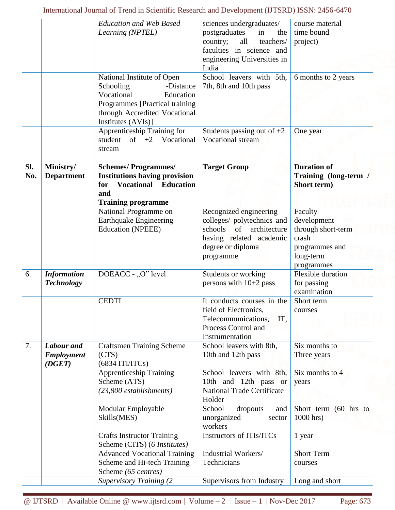|     |                    | <b>Education and Web Based</b>       | sciences undergraduates/                                   | course material -     |
|-----|--------------------|--------------------------------------|------------------------------------------------------------|-----------------------|
|     |                    | Learning (NPTEL)                     | postgraduates<br>in<br>the                                 | time bound            |
|     |                    |                                      | country;<br>all<br>teachers/                               | project)              |
|     |                    |                                      | faculties in science and                                   |                       |
|     |                    |                                      | engineering Universities in                                |                       |
|     |                    |                                      | India                                                      |                       |
|     |                    | National Institute of Open           | School leavers with 5th,                                   | 6 months to 2 years   |
|     |                    | Schooling<br>-Distance               | 7th, 8th and 10th pass                                     |                       |
|     |                    | Vocational<br>Education              |                                                            |                       |
|     |                    | Programmes [Practical training       |                                                            |                       |
|     |                    | through Accredited Vocational        |                                                            |                       |
|     |                    | Institutes (AVIs)]                   |                                                            |                       |
|     |                    | <b>Apprenticeship Training for</b>   | Students passing out of $+2$                               | One year              |
|     |                    | student of $+2$ Vocational           | Vocational stream                                          |                       |
|     |                    | stream                               |                                                            |                       |
|     |                    |                                      |                                                            |                       |
| Sl. | Ministry/          | <b>Schemes/Programmes/</b>           | <b>Target Group</b>                                        | <b>Duration of</b>    |
| No. | <b>Department</b>  | <b>Institutions having provision</b> |                                                            | Training (long-term / |
|     |                    | <b>Vocational Education</b><br>for   |                                                            | Short term)           |
|     |                    | and<br><b>Training programme</b>     |                                                            |                       |
|     |                    | National Programme on                | Recognized engineering                                     | Faculty               |
|     |                    | <b>Earthquake Engineering</b>        | colleges/ polytechnics and                                 | development           |
|     |                    | <b>Education (NPEEE)</b>             | schools<br>of<br>architecture                              | through short-term    |
|     |                    |                                      | having related academic                                    | crash                 |
|     |                    |                                      | degree or diploma                                          | programmes and        |
|     |                    |                                      | programme                                                  | long-term             |
|     |                    |                                      |                                                            | programmes            |
| 6.  | <b>Information</b> | DOEACC - "O" level                   | Students or working                                        | Flexible duration     |
|     | <b>Technology</b>  |                                      | persons with $10+2$ pass                                   | for passing           |
|     |                    |                                      |                                                            | examination           |
|     |                    | <b>CEDTI</b>                         | It conducts courses in the                                 | Short term            |
|     |                    |                                      | field of Electronics,                                      | courses               |
|     |                    |                                      | Telecommunications,<br>IT,                                 |                       |
|     |                    |                                      | Process Control and                                        |                       |
|     |                    |                                      | Instrumentation                                            |                       |
| 7.  | Labour and         | <b>Craftsmen Training Scheme</b>     | School leavers with 8th,                                   | Six months to         |
|     | <b>Employment</b>  | (CTS)                                | 10th and 12th pass                                         | Three years           |
|     | (DGET)             | (6834 ITI/ITCs)                      |                                                            |                       |
|     |                    | <b>Apprenticeship Training</b>       | School leavers with 8th,                                   | Six months to 4       |
|     |                    | Scheme (ATS)                         | 10th and 12th pass or<br><b>National Trade Certificate</b> | years                 |
|     |                    | $(23,800$ establishments)            | Holder                                                     |                       |
|     |                    | Modular Employable                   | School<br>dropouts<br>and                                  | Short term (60 hrs to |
|     |                    | Skills(MES)                          | unorganized<br>sector                                      | 1000 hrs)             |
|     |                    |                                      | workers                                                    |                       |
|     |                    | <b>Crafts Instructor Training</b>    | Instructors of ITIs/ITCs                                   | 1 year                |
|     |                    | Scheme (CITS) (6 Institutes)         |                                                            |                       |
|     |                    | <b>Advanced Vocational Training</b>  | Industrial Workers/                                        | <b>Short Term</b>     |
|     |                    | Scheme and Hi-tech Training          | Technicians                                                | courses               |
|     |                    | Scheme (65 centres)                  |                                                            |                       |
|     |                    | <b>Supervisory Training (2)</b>      | Supervisors from Industry                                  | Long and short        |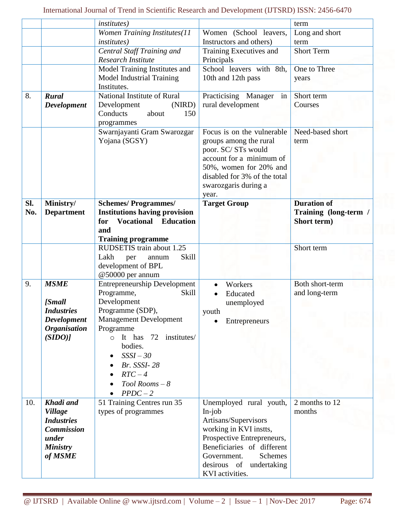|     |                     | <i>institutes</i> )                  |                               | term                  |
|-----|---------------------|--------------------------------------|-------------------------------|-----------------------|
|     |                     | <b>Women Training Institutes(11</b>  | Women (School leavers,        | Long and short        |
|     |                     | <i>institutes</i> )                  | Instructors and others)       | term                  |
|     |                     | Central Staff Training and           | Training Executives and       | <b>Short Term</b>     |
|     |                     | Research Institute                   | Principals                    |                       |
|     |                     | Model Training Institutes and        | School leavers with 8th,      | One to Three          |
|     |                     | Model Industrial Training            | 10th and 12th pass            | years                 |
|     |                     | Institutes.                          |                               |                       |
| 8.  | <b>Rural</b>        | National Institute of Rural          | Practicising Manager<br>in    | Short term            |
|     | <b>Development</b>  | (NIRD)<br>Development                | rural development             | Courses               |
|     |                     | Conducts<br>about<br>150             |                               |                       |
|     |                     | programmes                           |                               |                       |
|     |                     | Swarnjayanti Gram Swarozgar          | Focus is on the vulnerable    | Need-based short      |
|     |                     | Yojana (SGSY)                        | groups among the rural        | term                  |
|     |                     |                                      | poor. SC/STs would            |                       |
|     |                     |                                      | account for a minimum of      |                       |
|     |                     |                                      | 50%, women for 20% and        |                       |
|     |                     |                                      | disabled for 3% of the total  |                       |
|     |                     |                                      | swarozgaris during a          |                       |
|     |                     |                                      | year.                         |                       |
| SI. | Ministry/           | <b>Schemes/Programmes/</b>           | <b>Target Group</b>           | <b>Duration of</b>    |
| No. | <b>Department</b>   | <b>Institutions having provision</b> |                               | Training (long-term / |
|     |                     | <b>Vocational Education</b><br>for   |                               | Short term)           |
|     |                     | and                                  |                               |                       |
|     |                     | <b>Training programme</b>            |                               |                       |
|     |                     | RUDSETIS train about 1.25            |                               | Short term            |
|     |                     | <b>Skill</b><br>Lakh                 |                               |                       |
|     |                     | per<br>annum<br>development of BPL   |                               |                       |
|     |                     |                                      |                               |                       |
| 9.  | <b>MSME</b>         | @50000 per annum                     |                               | Both short-term       |
|     |                     | <b>Entrepreneurship Development</b>  | Workers                       |                       |
|     |                     | Programme,<br>Skill                  | Educated                      | and long-term         |
|     | <b>[Small</b>       | Development                          | unemployed                    |                       |
|     | <b>Industries</b>   | Programme (SDP),                     | youth                         |                       |
|     | <b>Development</b>  | <b>Management Development</b>        | Entrepreneurs                 |                       |
|     | <b>Organisation</b> | Programme                            |                               |                       |
|     | (SIDO)              | $\circ$ It has 72<br>institutes/     |                               |                       |
|     |                     | bodies.                              |                               |                       |
|     |                     | $SSSI - 30$                          |                               |                       |
|     |                     | Br. SSSI-28                          |                               |                       |
|     |                     | $RTC - 4$                            |                               |                       |
|     |                     | $Tool$ Rooms $-8$                    |                               |                       |
|     |                     | $PPDC-2$                             |                               |                       |
| 10. | Khadi and           | 51 Training Centres run 35           | Unemployed rural youth,       | 2 months to 12        |
|     | <b>Village</b>      | types of programmes                  | $In-job$                      | months                |
|     | <b>Industries</b>   |                                      | Artisans/Supervisors          |                       |
|     | <b>Commission</b>   |                                      | working in KVI instts,        |                       |
|     | under               |                                      | Prospective Entrepreneurs,    |                       |
|     | <b>Ministry</b>     |                                      | Beneficiaries of different    |                       |
|     | of MSME             |                                      | Government.<br><b>Schemes</b> |                       |
|     |                     |                                      | desirous of undertaking       |                       |
|     |                     |                                      | KVI activities.               |                       |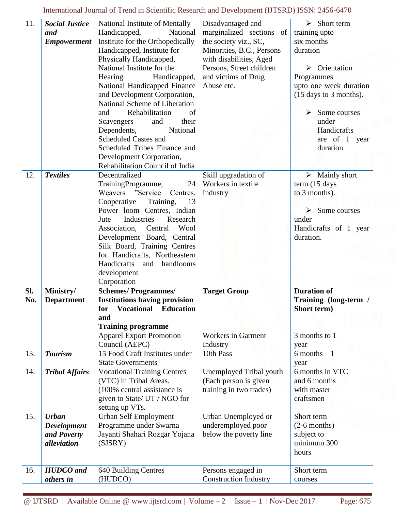International Journal of Trend in Scientific Research and Development (IJTSRD) ISSN: 2456-6470

| $\overline{11}$ . | <b>Social Justice</b>         | National Institute of Mentally       | Disadvantaged and                                  | $\triangleright$ Short term               |
|-------------------|-------------------------------|--------------------------------------|----------------------------------------------------|-------------------------------------------|
|                   | and                           | Handicapped,<br>National             | marginalized sections of                           | training upto                             |
|                   | <b>Empowerment</b>            | Institute for the Orthopedically     | the society viz., SC,                              | six months                                |
|                   |                               | Handicapped, Institute for           | Minorities, B.C., Persons                          | duration                                  |
|                   |                               | Physically Handicapped,              | with disabilities, Aged                            |                                           |
|                   |                               | National Institute for the           |                                                    | $\triangleright$ Orientation              |
|                   |                               |                                      | Persons, Street children                           |                                           |
|                   |                               | Hearing<br>Handicapped,              | and victims of Drug                                | Programmes                                |
|                   |                               | National Handicapped Finance         | Abuse etc.                                         | upto one week duration                    |
|                   |                               | and Development Corporation,         |                                                    | $(15 \text{ days to } 3 \text{ months}).$ |
|                   |                               | National Scheme of Liberation        |                                                    |                                           |
|                   |                               | Rehabilitation<br>of<br>and          |                                                    | Some courses<br>➤                         |
|                   |                               | their<br>and<br>Scavengers           |                                                    | under                                     |
|                   |                               | National<br>Dependents,              |                                                    | Handicrafts                               |
|                   |                               | <b>Scheduled Castes and</b>          |                                                    | are of 1 year                             |
|                   |                               | Scheduled Tribes Finance and         |                                                    | duration.                                 |
|                   |                               | Development Corporation,             |                                                    |                                           |
|                   |                               | Rehabilitation Council of India      |                                                    |                                           |
| 12.               | <b>Textiles</b>               | Decentralized                        | Skill upgradation of                               | $\triangleright$ Mainly short             |
|                   |                               | TrainingProgramme,<br>24             | Workers in textile                                 | term (15 days                             |
|                   |                               | Weavers "Service"<br>Centres.        | Industry                                           | to 3 months).                             |
|                   |                               |                                      |                                                    |                                           |
|                   |                               | Cooperative<br>Training,<br>13       |                                                    |                                           |
|                   |                               | Power loom Centres, Indian           |                                                    | $\triangleright$ Some courses             |
|                   |                               | Industries<br>Research<br>Jute       |                                                    | under                                     |
|                   |                               | Association,<br>Central<br>Wool      |                                                    | Handicrafts of 1 year                     |
|                   |                               | Development Board, Central           |                                                    | duration.                                 |
|                   |                               | Silk Board, Training Centres         |                                                    |                                           |
|                   |                               | for Handicrafts, Northeastern        |                                                    |                                           |
|                   |                               |                                      |                                                    |                                           |
|                   |                               | Handicrafts and handlooms            |                                                    |                                           |
|                   |                               | development                          |                                                    |                                           |
|                   |                               | Corporation                          |                                                    |                                           |
| Sl.               |                               |                                      |                                                    | <b>Duration of</b>                        |
|                   | Ministry/                     | <b>Schemes/Programmes/</b>           | <b>Target Group</b>                                |                                           |
| No.               | <b>Department</b>             | <b>Institutions having provision</b> |                                                    | Training (long-term /                     |
|                   |                               | for Vocational Education             |                                                    | Short term)                               |
|                   |                               | and                                  |                                                    |                                           |
|                   |                               | <b>Training programme</b>            |                                                    |                                           |
|                   |                               | <b>Apparel Export Promotion</b>      | <b>Workers</b> in Garment                          | 3 months to 1                             |
|                   |                               | Council (AEPC)                       | Industry                                           | year                                      |
| 13.               | <b>Tourism</b>                | 15 Food Craft Institutes under       | 10th Pass                                          | $6$ months $-1$                           |
|                   |                               | <b>State Governments</b>             |                                                    | year                                      |
| 14.               | <b>Tribal Affairs</b>         | <b>Vocational Training Centres</b>   | Unemployed Tribal youth                            | 6 months in VTC                           |
|                   |                               | (VTC) in Tribal Areas.               | (Each person is given                              | and 6 months                              |
|                   |                               | (100% central assistance is          | training in two trades)                            | with master                               |
|                   |                               | given to State/ UT / NGO for         |                                                    | craftsmen                                 |
|                   |                               | setting up VTs.                      |                                                    |                                           |
| 15.               | <b>Urban</b>                  | Urban Self Employment                | Urban Unemployed or                                | Short term                                |
|                   | <b>Development</b>            |                                      | underemployed poor                                 | $(2-6$ months)                            |
|                   |                               | Programme under Swarna               |                                                    |                                           |
|                   | and Poverty                   | Jayanti Shahari Rozgar Yojana        | below the poverty line                             | subject to                                |
|                   | alleviation                   | (SJSRY)                              |                                                    | minimum 300                               |
|                   |                               |                                      |                                                    | hours                                     |
|                   |                               |                                      |                                                    |                                           |
| 16.               | <b>HUDCO</b> and<br>others in | 640 Building Centres<br>(HUDCO)      | Persons engaged in<br><b>Construction Industry</b> | Short term<br>courses                     |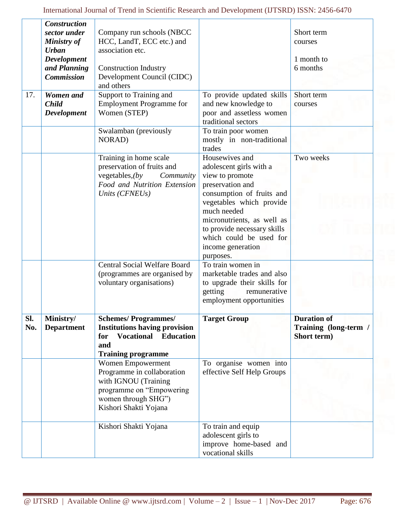|            | <b>Construction</b><br>sector under             | Company run schools (NBCC                                                                                                                           |                                                                                                                                                                                                                                                                                    | Short term                                                 |
|------------|-------------------------------------------------|-----------------------------------------------------------------------------------------------------------------------------------------------------|------------------------------------------------------------------------------------------------------------------------------------------------------------------------------------------------------------------------------------------------------------------------------------|------------------------------------------------------------|
|            | <b>Ministry of</b>                              | HCC, LandT, ECC etc.) and                                                                                                                           |                                                                                                                                                                                                                                                                                    | courses                                                    |
|            | <b>Urban</b><br><b>Development</b>              | association etc.                                                                                                                                    |                                                                                                                                                                                                                                                                                    | 1 month to                                                 |
|            | and Planning                                    | <b>Construction Industry</b>                                                                                                                        |                                                                                                                                                                                                                                                                                    | 6 months                                                   |
|            | <b>Commission</b>                               | Development Council (CIDC)<br>and others                                                                                                            |                                                                                                                                                                                                                                                                                    |                                                            |
| 17.        | Women and<br><b>Child</b><br><b>Development</b> | Support to Training and<br><b>Employment Programme for</b><br>Women (STEP)                                                                          | To provide updated skills<br>and new knowledge to<br>poor and assetless women<br>traditional sectors                                                                                                                                                                               | Short term<br>courses                                      |
|            |                                                 | Swalamban (previously<br>NORAD)                                                                                                                     | To train poor women<br>mostly in non-traditional<br>trades                                                                                                                                                                                                                         |                                                            |
|            |                                                 | Training in home scale<br>preservation of fruits and<br>vegetables, $(by$<br>Community<br>Food and Nutrition Extension<br>Units (CFNEUs)            | Housewives and<br>adolescent girls with a<br>view to promote<br>preservation and<br>consumption of fruits and<br>vegetables which provide<br>much needed<br>micronutrients, as well as<br>to provide necessary skills<br>which could be used for<br>income generation<br>purposes. | Two weeks                                                  |
|            |                                                 | <b>Central Social Welfare Board</b><br>(programmes are organised by<br>voluntary organisations)                                                     | To train women in<br>marketable trades and also<br>to upgrade their skills for<br>getting<br>remunerative<br>employment opportunities                                                                                                                                              |                                                            |
| Sl.<br>No. | Ministry/<br><b>Department</b>                  | <b>Schemes/Programmes/</b><br><b>Institutions having provision</b><br><b>Vocational Education</b><br>for<br>and<br><b>Training programme</b>        | <b>Target Group</b>                                                                                                                                                                                                                                                                | <b>Duration of</b><br>Training (long-term /<br>Short term) |
|            |                                                 | Women Empowerment<br>Programme in collaboration<br>with IGNOU (Training<br>programme on "Empowering<br>women through SHG")<br>Kishori Shakti Yojana | To organise women into<br>effective Self Help Groups                                                                                                                                                                                                                               |                                                            |
|            |                                                 | Kishori Shakti Yojana                                                                                                                               | To train and equip<br>adolescent girls to<br>improve home-based and<br>vocational skills                                                                                                                                                                                           |                                                            |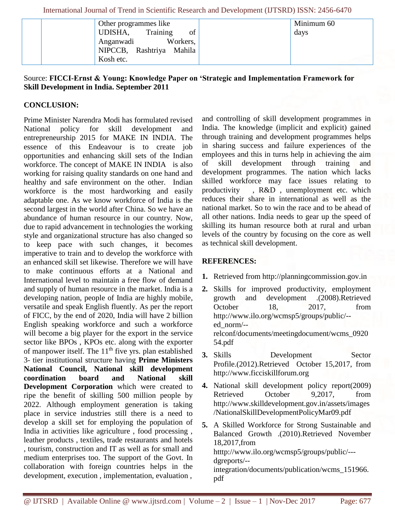| Other programmes like<br>Training<br>of<br>UDISHA,<br>Anganwadi<br>Workers,<br>NIPCCB, Rashtriya Mahila<br>Kosh etc. | Minimum 60<br>days |
|----------------------------------------------------------------------------------------------------------------------|--------------------|
|----------------------------------------------------------------------------------------------------------------------|--------------------|

# Source: **FICCI-Ernst & Young: Knowledge Paper on 'Strategic and Implementation Framework for Skill Development in India. September 2011**

# **CONCLUSION:**

Prime Minister Narendra Modi has formulated revised National policy for skill development and entrepreneurship 2015 for MAKE IN INDIA. The essence of this Endeavour is to create job opportunities and enhancing skill sets of the Indian workforce. The concept of MAKE IN INDIA is also working for raising quality standards on one hand and healthy and safe environment on the other. Indian workforce is the most hardworking and easily adaptable one. As we know workforce of India is the second largest in the world after China. So we have an abundance of human resource in our country. Now, due to rapid advancement in technologies the working style and organizational structure has also changed so to keep pace with such changes, it becomes imperative to train and to develop the workforce with an enhanced skill set likewise. Therefore we will have to make continuous efforts at a National and International level to maintain a free flow of demand and supply of human resource in the market. India is a developing nation, people of India are highly mobile, versatile and speak English fluently. As per the report of FICC, by the end of 2020, India will have 2 billion English speaking workforce and such a workforce will become a big player for the export in the service sector like BPOs , KPOs etc. along with the exporter of manpower itself. The  $11<sup>th</sup>$  five yrs. plan established 3- tier institutional structure having **Prime Ministers National Council, National skill development coordination board and National skill Development Corporation** which were created to ripe the benefit of skilling 500 million people by 2022. Although employment generation is taking place in service industries still there is a need to develop a skill set for employing the population of India in activities like agriculture , food processing , leather products , textiles, trade restaurants and hotels , tourism, construction and IT as well as for small and medium enterprises too. The support of the Govt. In collaboration with foreign countries helps in the development, execution , implementation, evaluation ,

and controlling of skill development programmes in India. The knowledge (implicit and explicit) gained through training and development programmes helps in sharing success and failure experiences of the employees and this in turns help in achieving the aim of skill development through training and development programmes. The nation which lacks skilled workforce may face issues relating to productivity , R&D , unemployment etc. which reduces their share in international as well as the national market. So to win the race and to be ahead of all other nations. India needs to gear up the speed of skilling its human resource both at rural and urban levels of the country by focusing on the core as well as technical skill development.

## **REFERENCES:**

- **1.** Retrieved from http://planningcommission.gov.in
- **2.** Skills for improved productivity, employment growth and development .(2008).Retrieved October 18, 2017, from http://www.ilo.org/wcmsp5/groups/public/- ed\_norm/- relconf/documents/meetingdocument/wcms\_0920 54.pdf
- **3.** Skills Development Sector Profile.(2012).Retrieved October 15,2017, from http://www.ficciskillforum.org
- **4.** National skill development policy report(2009) Retrieved October 9.2017, from http://www.skilldevelopment.gov.in/assets/images /NationalSkillDevelopmentPolicyMar09.pdf
- **5.** A Skilled Workforce for Strong Sustainable and Balanced Growth .(2010).Retrieved November 18,2017,from htttp://www.ilo.org/wcmsp5/groups/public/-- dgreports/- integration/documents/publication/wcms\_151966. pdf